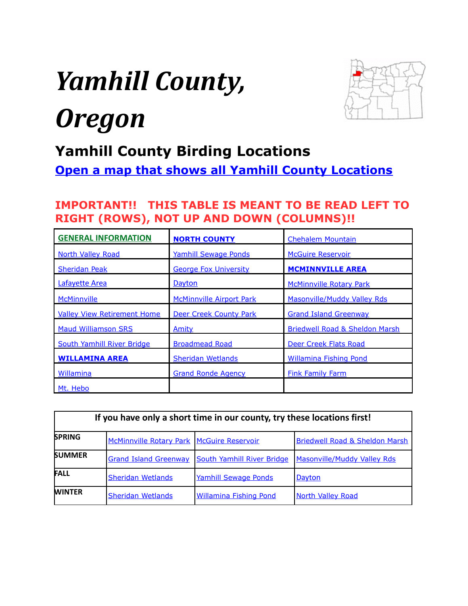# <span id="page-0-0"></span>*Yamhill County, Oregon*



# **Yamhill County Birding Locations**

**[Open a map that shows all Yamhill County Locations](https://drive.google.com/open?id=1jSlPV3MeLnJbaN2ImTl0A5oGUhE&usp=sharing)**

# **IMPORTANT!! THIS TABLE IS MEANT TO BE READ LEFT TO RIGHT (ROWS), NOT UP AND DOWN (COLUMNS)!!**

| <b>GENERAL INFORMATION</b>         | <b>NORTH COUNTY</b>             | <b>Chehalem Mountain</b>                  |
|------------------------------------|---------------------------------|-------------------------------------------|
| <b>North Valley Road</b>           | <b>Yamhill Sewage Ponds</b>     | <b>McGuire Reservoir</b>                  |
| <b>Sheridan Peak</b>               | <b>George Fox University</b>    | <b>MCMINNVILLE AREA</b>                   |
| Lafayette Area                     | Dayton                          | <b>McMinnville Rotary Park</b>            |
| <b>McMinnville</b>                 | <b>McMinnville Airport Park</b> | Masonville/Muddy Valley Rds               |
| <b>Valley View Retirement Home</b> | <b>Deer Creek County Park</b>   | <b>Grand Island Greenway</b>              |
| <b>Maud Williamson SRS</b>         | Amity                           | <b>Briedwell Road &amp; Sheldon Marsh</b> |
| South Yamhill River Bridge         | <b>Broadmead Road</b>           | Deer Creek Flats Road                     |
| <b>WILLAMINA AREA</b>              | <b>Sheridan Wetlands</b>        | Willamina Fishing Pond                    |
| Willamina                          | <b>Grand Ronde Agency</b>       | <b>Fink Family Farm</b>                   |
| Mt. Hebo                           |                                 |                                           |

| If you have only a short time in our county, try these locations first! |                                             |                               |                                           |  |
|-------------------------------------------------------------------------|---------------------------------------------|-------------------------------|-------------------------------------------|--|
| <b>SPRING</b>                                                           | McMinnville Rotary Park   McGuire Reservoir |                               | <b>Briedwell Road &amp; Sheldon Marsh</b> |  |
| <b>SUMMER</b>                                                           | <b>Grand Island Greenway</b>                | South Yamhill River Bridge    | <b>Masonville/Muddy Valley Rds</b>        |  |
| <b>FALL</b>                                                             | <b>Sheridan Wetlands</b>                    | <b>Yamhill Sewage Ponds</b>   | Dayton                                    |  |
| <b>WINTER</b>                                                           | <b>Sheridan Wetlands</b>                    | <b>Willamina Fishing Pond</b> | <b>North Valley Road</b>                  |  |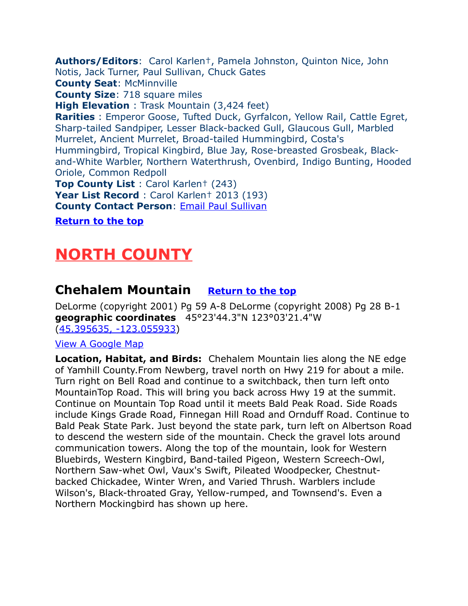<span id="page-1-2"></span>**Authors/Editors**: Carol Karlen†, Pamela Johnston, Quinton Nice, John Notis, Jack Turner, Paul Sullivan, Chuck Gates **County Seat**: McMinnville **County Size**: 718 square miles **High Elevation** : Trask Mountain (3,424 feet) **Rarities** : Emperor Goose, Tufted Duck, Gyrfalcon, Yellow Rail, Cattle Egret, Sharp-tailed Sandpiper, Lesser Black-backed Gull, Glaucous Gull, Marbled Murrelet, Ancient Murrelet, Broad-tailed Hummingbird, Costa's Hummingbird, Tropical Kingbird, Blue Jay, Rose-breasted Grosbeak, Blackand-White Warbler, Northern Waterthrush, Ovenbird, Indigo Bunting, Hooded Oriole, Common Redpoll **Top County List** : Carol Karlen† (243) **Year List Record** : Carol Karlen† 2013 (193) **County Contact Person: Email Paul Sullivan** 

**[Return to the top](#page-0-0)**

# <span id="page-1-1"></span>**NORTH COUNTY**

# <span id="page-1-0"></span>**Chehalem Mountain [Return to the top](#page-0-0)**

DeLorme (copyright 2001) Pg 59 A-8 DeLorme (copyright 2008) Pg 28 B-1 **geographic coordinates** 45°23'44.3"N 123°03'21.4"W [\(45.395635, -123.055933\)](https://www.google.com/maps/place/45%C2%B023)

#### [View A Google Map](http://maps.google.com/maps/ms?hl=en&ie=UTF8&msa=0&msid=108036481085398338899.00046dd27f74c067e5c9f&ll=45.236218,-123.19931&spn=0.741722,2.113495&z=10)

**Location, Habitat, and Birds:** Chehalem Mountain lies along the NE edge of Yamhill County.From Newberg, travel north on Hwy 219 for about a mile. Turn right on Bell Road and continue to a switchback, then turn left onto MountainTop Road. This will bring you back across Hwy 19 at the summit. Continue on Mountain Top Road until it meets Bald Peak Road. Side Roads include Kings Grade Road, Finnegan Hill Road and Ornduff Road. Continue to Bald Peak State Park. Just beyond the state park, turn left on Albertson Road to descend the western side of the mountain. Check the gravel lots around communication towers. Along the top of the mountain, look for Western Bluebirds, Western Kingbird, Band-tailed Pigeon, Western Screech-Owl, Northern Saw-whet Owl, Vaux's Swift, Pileated Woodpecker, Chestnutbacked Chickadee, Winter Wren, and Varied Thrush. Warblers include Wilson's, Black-throated Gray, Yellow-rumped, and Townsend's. Even a Northern Mockingbird has shown up here.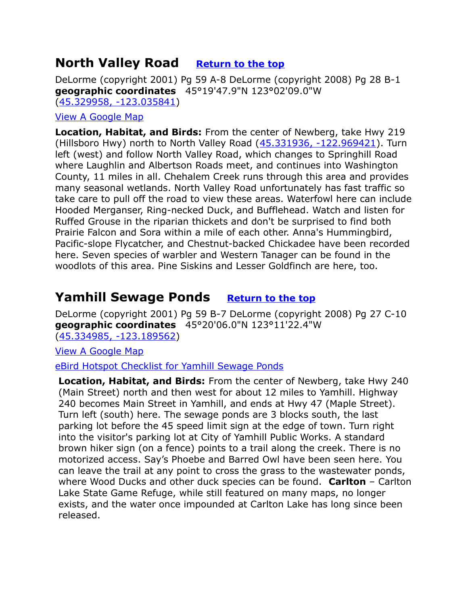# <span id="page-2-0"></span>**North Valley Road [Return to the top](#page-0-0)**

DeLorme (copyright 2001) Pg 59 A-8 DeLorme (copyright 2008) Pg 28 B-1 **geographic coordinates** 45°19'47.9"N 123°02'09.0"W [\(45.329958, -123.035841\)](https://www.google.com/maps/place/45%C2%B019)

#### [View A Google Map](http://maps.google.com/maps/ms?hl=en&ie=UTF8&msa=0&msid=108036481085398338899.00046dd27f74c067e5c9f&ll=45.236218,-123.19931&spn=0.741722,2.113495&z=10)

**Location, Habitat, and Birds:** From the center of Newberg, take Hwy 219 (Hillsboro Hwy) north to North Valley Road [\(45.331936, -122.969421\)](https://www.google.com/maps/place/45%C2%B019). Turn left (west) and follow North Valley Road, which changes to Springhill Road where Laughlin and Albertson Roads meet, and continues into Washington County, 11 miles in all. Chehalem Creek runs through this area and provides many seasonal wetlands. North Valley Road unfortunately has fast traffic so take care to pull off the road to view these areas. Waterfowl here can include Hooded Merganser, Ring-necked Duck, and Bufflehead. Watch and listen for Ruffed Grouse in the riparian thickets and don't be surprised to find both Prairie Falcon and Sora within a mile of each other. Anna's Hummingbird, Pacific-slope Flycatcher, and Chestnut-backed Chickadee have been recorded here. Seven species of warbler and Western Tanager can be found in the woodlots of this area. Pine Siskins and Lesser Goldfinch are here, too.

# <span id="page-2-1"></span>**Yamhill Sewage Ponds [Return to the top](#page-0-0)**

DeLorme (copyright 2001) Pg 59 B-7 DeLorme (copyright 2008) Pg 27 C-10 **geographic coordinates** 45°20'06.0"N 123°11'22.4"W [\(45.334985, -123.189562\)](https://www.google.com/maps/place/45%C2%B020)

#### [View A Google Map](http://maps.google.com/maps/ms?hl=en&ie=UTF8&msa=0&msid=108036481085398338899.000472b9607b642f8f13e&z=10)

#### [eBird Hotspot Checklist for Yamhill Sewage Ponds](http://ebird.org/ebird/hotspot/L3175129?yr=all&m=&rank=mrec)

**Location, Habitat, and Birds:** From the center of Newberg, take Hwy 240 (Main Street) north and then west for about 12 miles to Yamhill. Highway 240 becomes Main Street in Yamhill, and ends at Hwy 47 (Maple Street). Turn left (south) here. The sewage ponds are 3 blocks south, the last parking lot before the 45 speed limit sign at the edge of town. Turn right into the visitor's parking lot at City of Yamhill Public Works. A standard brown hiker sign (on a fence) points to a trail along the creek. There is no motorized access. Say's Phoebe and Barred Owl have been seen here. You can leave the trail at any point to cross the grass to the wastewater ponds, where Wood Ducks and other duck species can be found. **Carlton** – Carlton Lake State Game Refuge, while still featured on many maps, no longer exists, and the water once impounded at Carlton Lake has long since been released.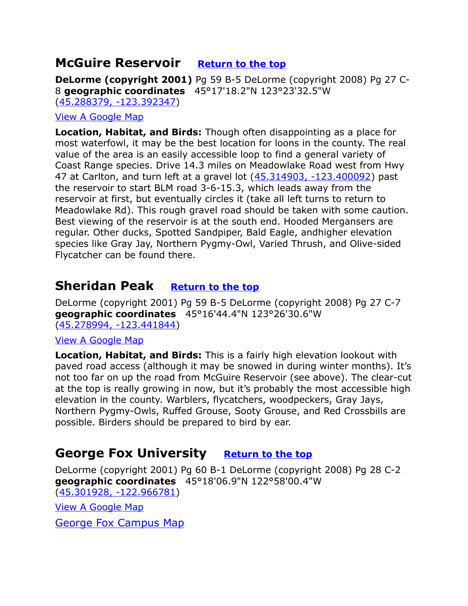# <span id="page-3-0"></span>**McGuire Reservoir [Return to the top](#page-0-0)**

**DeLorme (copyright 2001)** Pg 59 B-5 DeLorme (copyright 2008) Pg 27 C-8 **geographic coordinates** 45°17'18.2"N 123°23'32.5"W [\(45.288379, -123.392347\)](https://www.google.com/maps/place/45%C2%B017)

#### [View A Google Map](http://maps.google.com/maps/ms?hl=en&ie=UTF8&msa=0&msid=108036481085398338899.000472b9607b642f8f13e&z=10)

**Location, Habitat, and Birds:** Though often disappointing as a place for most waterfowl, it may be the best location for loons in the county. The real value of the area is an easily accessible loop to find a general variety of Coast Range species. Drive 14.3 miles on Meadowlake Road west from Hwy 47 at Carlton, and turn left at a gravel lot  $(45.314903, -123.400092)$  past the reservoir to start BLM road 3-6-15.3, which leads away from the reservoir at first, but eventually circles it (take all left turns to return to Meadowlake Rd). This rough gravel road should be taken with some caution. Best viewing of the reservoir is at the south end. Hooded Mergansers are regular. Other ducks, Spotted Sandpiper, Bald Eagle, andhigher elevation species like Gray Jay, Northern Pygmy-Owl, Varied Thrush, and Olive-sided Flycatcher can be found there.

### <span id="page-3-2"></span>**Sheridan Peak [Return to the top](#page-0-0)**

DeLorme (copyright 2001) Pg 59 B-5 DeLorme (copyright 2008) Pg 27 C-7 **geographic coordinates** 45°16'44.4"N 123°26'30.6"W [\(45.278994, -123.441844\)](https://www.google.com/maps/place/45%C2%B016)

#### [View A Google Map](http://maps.google.com/maps/ms?hl=en&ie=UTF8&msa=0&msid=108036481085398338899.000472b9607b642f8f13e&z=10)

**Location, Habitat, and Birds:** This is a fairly high elevation lookout with paved road access (although it may be snowed in during winter months). It's not too far on up the road from McGuire Reservoir (see above). The clear-cut at the top is really growing in now, but it's probably the most accessible high elevation in the county. Warblers, flycatchers, woodpeckers, Gray Jays, Northern Pygmy-Owls, Ruffed Grouse, Sooty Grouse, and Red Crossbills are possible. Birders should be prepared to bird by ear.

# <span id="page-3-1"></span>**George Fox University [Return to the top](#page-0-0)**

DeLorme (copyright 2001) Pg 60 B-1 DeLorme (copyright 2008) Pg 28 C-2 **geographic coordinates** 45°18'06.9"N 122°58'00.4"W [\(45.301928, -122.966781\)](https://www.google.com/maps/place/45%C2%B018)

[View A Google Map](http://maps.google.com/maps/ms?hl=en&ie=UTF8&msa=0&msid=108036481085398338899.000472b9607b642f8f13e&z=10)

[George Fox Campus Map](http://www.georgefox.edu/maps_locations/inter_map/index.html)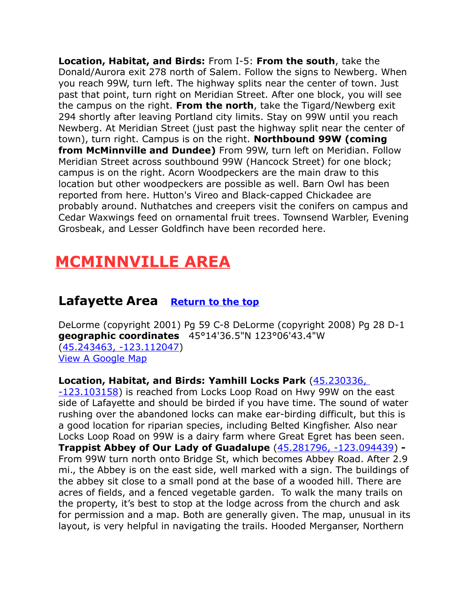**Location, Habitat, and Birds:** From I-5: **From the south**, take the Donald/Aurora exit 278 north of Salem. Follow the signs to Newberg. When you reach 99W, turn left. The highway splits near the center of town. Just past that point, turn right on Meridian Street. After one block, you will see the campus on the right. **From the north**, take the Tigard/Newberg exit 294 shortly after leaving Portland city limits. Stay on 99W until you reach Newberg. At Meridian Street (just past the highway split near the center of town), turn right. Campus is on the right. **Northbound 99W (coming from McMinnville and Dundee)** From 99W, turn left on Meridian. Follow Meridian Street across southbound 99W (Hancock Street) for one block; campus is on the right. Acorn Woodpeckers are the main draw to this location but other woodpeckers are possible as well. Barn Owl has been reported from here. Hutton's Vireo and Black-capped Chickadee are probably around. Nuthatches and creepers visit the conifers on campus and Cedar Waxwings feed on ornamental fruit trees. Townsend Warbler, Evening Grosbeak, and Lesser Goldfinch have been recorded here.

# <span id="page-4-1"></span>**MCMINNVILLE AREA**

# <span id="page-4-0"></span>**Lafayette Area [Return to the top](#page-0-0)**

DeLorme (copyright 2001) Pg 59 C-8 DeLorme (copyright 2008) Pg 28 D-1 **geographic coordinates** 45°14'36.5"N 123°06'43.4"W [\(45.243463, -123.112047\)](https://www.google.com/maps/place/45%C2%B014) [View A Google Map](http://maps.google.com/maps/ms?hl=en&ie=UTF8&msa=0&ll=45.281168,-123.096313&spn=0.384582,1.056747&z=11&msid=108036481085398338899.000480247f23cf8d721cc)

#### **Location, Habitat, and Birds: Yamhill Locks Park** [\(45.230336,](https://www.google.com/maps/place/45%C2%B013)

[-123.103158\)](https://www.google.com/maps/place/45%C2%B013) is reached from Locks Loop Road on Hwy 99W on the east side of Lafayette and should be birded if you have time. The sound of water rushing over the abandoned locks can make ear-birding difficult, but this is a good location for riparian species, including Belted Kingfisher. Also near Locks Loop Road on 99W is a dairy farm where Great Egret has been seen. **Trappist Abbey of Our Lady of Guadalupe** [\(45.281796, -123.094439\)](https://www.google.com/maps/place/45%C2%B016) **-** From 99W turn north onto Bridge St, which becomes Abbey Road. After 2.9 mi., the Abbey is on the east side, well marked with a sign. The buildings of the abbey sit close to a small pond at the base of a wooded hill. There are acres of fields, and a fenced vegetable garden. To walk the many trails on the property, it's best to stop at the lodge across from the church and ask for permission and a map. Both are generally given. The map, unusual in its layout, is very helpful in navigating the trails. Hooded Merganser, Northern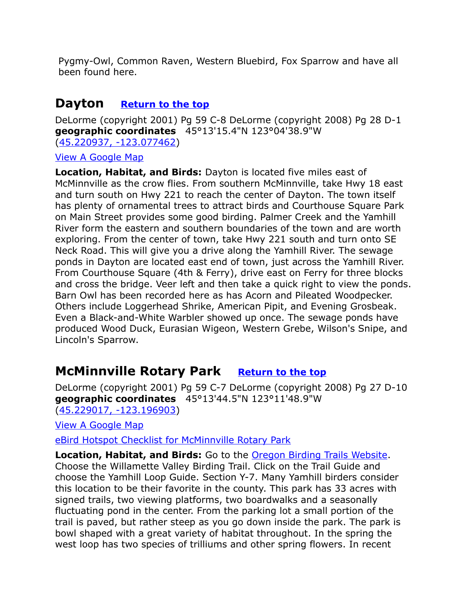Pygmy-Owl, Common Raven, Western Bluebird, Fox Sparrow and have all been found here.

# <span id="page-5-0"></span>**Dayton [Return to the top](#page-0-0)**

DeLorme (copyright 2001) Pg 59 C-8 DeLorme (copyright 2008) Pg 28 D-1 **geographic coordinates** 45°13'15.4"N 123°04'38.9"W [\(45.220937, -123.077462\)](https://www.google.com/maps/place/45%C2%B013)

[View A Google Map](http://maps.google.com/maps/ms?hl=en&ie=UTF8&msa=0&msid=108036481085398338899.00046dd27f74c067e5c9f&ll=45.236218,-123.19931&spn=0.741722,2.113495&z=10)

**Location, Habitat, and Birds:** Dayton is located five miles east of McMinnville as the crow flies. From southern McMinnville, take Hwy 18 east and turn south on Hwy 221 to reach the center of Dayton. The town itself has plenty of ornamental trees to attract birds and Courthouse Square Park on Main Street provides some good birding. Palmer Creek and the Yamhill River form the eastern and southern boundaries of the town and are worth exploring. From the center of town, take Hwy 221 south and turn onto SE Neck Road. This will give you a drive along the Yamhill River. The sewage ponds in Dayton are located east end of town, just across the Yamhill River. From Courthouse Square (4th & Ferry), drive east on Ferry for three blocks and cross the bridge. Veer left and then take a quick right to view the ponds. Barn Owl has been recorded here as has Acorn and Pileated Woodpecker. Others include Loggerhead Shrike, American Pipit, and Evening Grosbeak. Even a Black-and-White Warbler showed up once. The sewage ponds have produced Wood Duck, Eurasian Wigeon, Western Grebe, Wilson's Snipe, and Lincoln's Sparrow.

# <span id="page-5-1"></span>**McMinnville Rotary Park [Return to the top](#page-0-0)**

DeLorme (copyright 2001) Pg 59 C-7 DeLorme (copyright 2008) Pg 27 D-10 **geographic coordinates** 45°13'44.5"N 123°11'48.9"W [\(45.229017, -123.196903\)](https://www.google.com/maps/place/45%C2%B013)

[View A Google Map](http://maps.google.com/maps/ms?hl=en&ie=UTF8&msa=0&msid=108036481085398338899.00046dd27f74c067e5c9f&ll=45.236218,-123.19931&spn=0.741722,2.113495&z=10)

[eBird Hotspot Checklist for McMinnville Rotary Park](http://ebird.org/ebird/hotspot/L929006) 

**Location, Habitat, and Birds:** Go to the [Oregon Birding Trails Website.](http://www.oregonbirdingtrails.org/) Choose the Willamette Valley Birding Trail. Click on the Trail Guide and choose the Yamhill Loop Guide. Section Y-7. Many Yamhill birders consider this location to be their favorite in the county. This park has 33 acres with signed trails, two viewing platforms, two boardwalks and a seasonally fluctuating pond in the center. From the parking lot a small portion of the trail is paved, but rather steep as you go down inside the park. The park is bowl shaped with a great variety of habitat throughout. In the spring the west loop has two species of trilliums and other spring flowers. In recent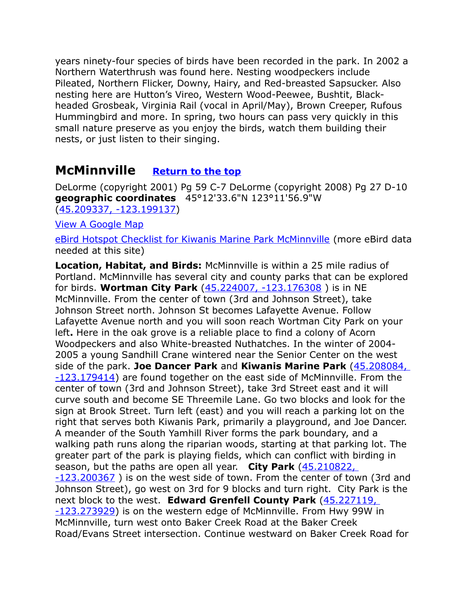years ninety-four species of birds have been recorded in the park. In 2002 a Northern Waterthrush was found here. Nesting woodpeckers include Pileated, Northern Flicker, Downy, Hairy, and Red-breasted Sapsucker. Also nesting here are Hutton's Vireo, Western Wood-Peewee, Bushtit, Blackheaded Grosbeak, Virginia Rail (vocal in April/May), Brown Creeper, Rufous Hummingbird and more. In spring, two hours can pass very quickly in this small nature preserve as you enjoy the birds, watch them building their nests, or just listen to their singing.

# <span id="page-6-0"></span>**McMinnville [Return to the top](#page-0-0)**

DeLorme (copyright 2001) Pg 59 C-7 DeLorme (copyright 2008) Pg 27 D-10 **geographic coordinates** 45°12'33.6"N 123°11'56.9"W [\(45.209337, -123.199137\)](https://www.google.com/maps/place/45%C2%B012)

[View A Google Map](http://maps.google.com/maps/ms?hl=en&ie=UTF8&msa=0&msid=108036481085398338899.000472b9607b642f8f13e&z=10)

[eBird Hotspot Checklist for Kiwanis Marine Park McMinnville](http://ebird.org/ebird/hotspot/L2206306) (more eBird data needed at this site)

**Location, Habitat, and Birds:** McMinnville is within a 25 mile radius of Portland. McMinnville has several city and county parks that can be explored for birds. **Wortman City Park** [\(45.224007, -123.176308](https://www.google.com/maps/place/45%C2%B013) ) is in NE McMinnville. From the center of town (3rd and Johnson Street), take Johnson Street north. Johnson St becomes Lafayette Avenue. Follow Lafayette Avenue north and you will soon reach Wortman City Park on your left**.** Here in the oak grove is a reliable place to find a colony of Acorn Woodpeckers and also White-breasted Nuthatches. In the winter of 2004- 2005 a young Sandhill Crane wintered near the Senior Center on the west side of the park. **Joe Dancer Park** and **Kiwanis Marine Park** [\(45.208084,](https://www.google.com/maps/place/45%C2%B012)  [-123.179414\)](https://www.google.com/maps/place/45%C2%B012) are found together on the east side of McMinnville. From the center of town (3rd and Johnson Street), take 3rd Street east and it will curve south and become SE Threemile Lane. Go two blocks and look for the sign at Brook Street. Turn left (east) and you will reach a parking lot on the right that serves both Kiwanis Park, primarily a playground, and Joe Dancer. A meander of the South Yamhill River forms the park boundary, and a walking path runs along the riparian woods, starting at that parking lot. The greater part of the park is playing fields, which can conflict with birding in season, but the paths are open all year. **City Park** [\(45.210822,](https://www.google.com/maps/place/45%C2%B012)  [-123.200367](https://www.google.com/maps/place/45%C2%B012) ) is on the west side of town. From the center of town (3rd and Johnson Street), go west on 3rd for 9 blocks and turn right. City Park is the next block to the west. **Edward Grenfell County Park** [\(45.227119,](https://www.google.com/maps/place/45%C2%B013)  [-123.273929\)](https://www.google.com/maps/place/45%C2%B013) is on the western edge of McMinnville. From Hwy 99W in McMinnville, turn west onto Baker Creek Road at the Baker Creek Road/Evans Street intersection. Continue westward on Baker Creek Road for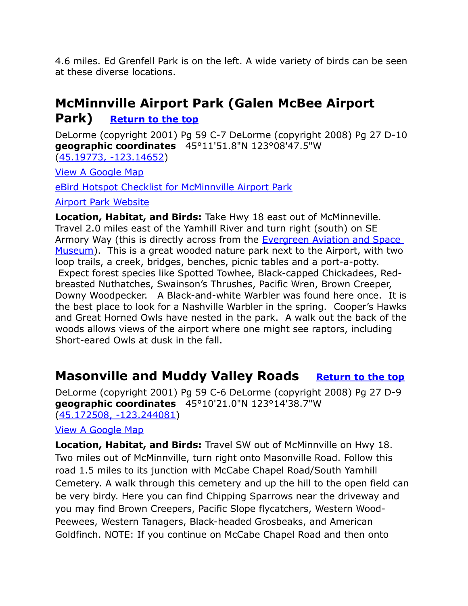4.6 miles. Ed Grenfell Park is on the left. A wide variety of birds can be seen at these diverse locations.

# **McMinnville Airport Park (Galen McBee Airport**

# **Park) [Return to the top](#page-0-0)**

DeLorme (copyright 2001) Pg 59 C-7 DeLorme (copyright 2008) Pg 27 D-10 **geographic coordinates** 45°11'51.8"N 123°08'47.5"W

[\(45.19773, -123.14652\)](https://www.google.com/maps/place/45%C2%B011)

[View A Google Map](http://maps.google.com/maps/ms?hl=en&ie=UTF8&msa=0&msid=108036481085398338899.000472b9607b642f8f13e&z=10)

[eBird Hotspot Checklist for McMinnville Airport Park](http://ebird.org/ebird/hotspot/L3811771?yr=all&m=&rank=mrec)

[Airport Park Website](http://www.mcminnvilleoregon.gov/parksrec/page/galen-mcbee-airport-park)

**Location, Habitat, and Birds:** Take Hwy 18 east out of McMinneville. Travel 2.0 miles east of the Yamhill River and turn right (south) on SE Armory Way (this is directly across from the Evergreen Aviation and Space [Museum\)](https://www.evergreenmuseum.org/). This is a great wooded nature park next to the Airport, with two loop trails, a creek, bridges, benches, picnic tables and a port-a-potty. Expect forest species like Spotted Towhee, Black-capped Chickadees, Redbreasted Nuthatches, Swainson's Thrushes, Pacific Wren, Brown Creeper, Downy Woodpecker. A Black-and-white Warbler was found here once. It is the best place to look for a Nashville Warbler in the spring. Cooper's Hawks and Great Horned Owls have nested in the park. A walk out the back of the woods allows views of the airport where one might see raptors, including Short-eared Owls at dusk in the fall.

# <span id="page-7-0"></span>**Masonville and Muddy Valley Roads** [Return to the top](#page-0-0)

DeLorme (copyright 2001) Pg 59 C-6 DeLorme (copyright 2008) Pg 27 D-9 **geographic coordinates** 45°10'21.0"N 123°14'38.7"W [\(45.172508, -123.244081\)](https://www.google.com/maps/place/45%C2%B010)

[View A Google Map](http://maps.google.com/maps/ms?hl=en&ie=UTF8&msa=0&msid=108036481085398338899.000472b9607b642f8f13e&z=10)

**Location, Habitat, and Birds:** Travel SW out of McMinnville on Hwy 18. Two miles out of McMinnville, turn right onto Masonville Road. Follow this road 1.5 miles to its junction with McCabe Chapel Road/South Yamhill Cemetery. A walk through this cemetery and up the hill to the open field can be very birdy. Here you can find Chipping Sparrows near the driveway and you may find Brown Creepers, Pacific Slope flycatchers, Western Wood-Peewees, Western Tanagers, Black-headed Grosbeaks, and American Goldfinch. NOTE: If you continue on McCabe Chapel Road and then onto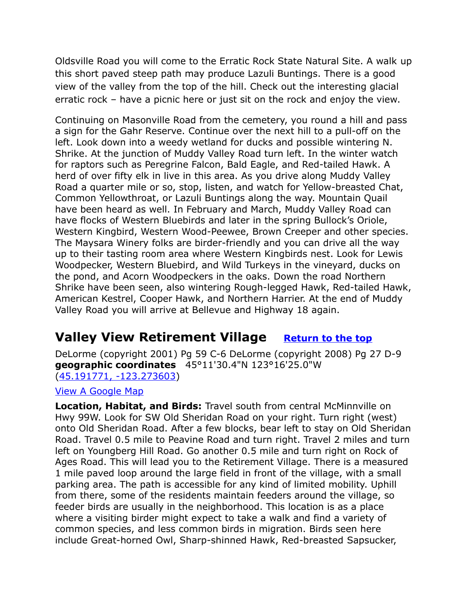Oldsville Road you will come to the Erratic Rock State Natural Site. A walk up this short paved steep path may produce Lazuli Buntings. There is a good view of the valley from the top of the hill. Check out the interesting glacial erratic rock – have a picnic here or just sit on the rock and enjoy the view.

Continuing on Masonville Road from the cemetery, you round a hill and pass a sign for the Gahr Reserve. Continue over the next hill to a pull-off on the left. Look down into a weedy wetland for ducks and possible wintering N. Shrike. At the junction of Muddy Valley Road turn left. In the winter watch for raptors such as Peregrine Falcon, Bald Eagle, and Red-tailed Hawk. A herd of over fifty elk in live in this area. As you drive along Muddy Valley Road a quarter mile or so, stop, listen, and watch for Yellow-breasted Chat, Common Yellowthroat, or Lazuli Buntings along the way. Mountain Quail have been heard as well. In February and March, Muddy Valley Road can have flocks of Western Bluebirds and later in the spring Bullock's Oriole, Western Kingbird, Western Wood-Peewee, Brown Creeper and other species. The Maysara Winery folks are birder-friendly and you can drive all the way up to their tasting room area where Western Kingbirds nest. Look for Lewis Woodpecker, Western Bluebird, and Wild Turkeys in the vineyard, ducks on the pond, and Acorn Woodpeckers in the oaks. Down the road Northern Shrike have been seen, also wintering Rough-legged Hawk, Red-tailed Hawk, American Kestrel, Cooper Hawk, and Northern Harrier. At the end of Muddy Valley Road you will arrive at Bellevue and Highway 18 again.

# <span id="page-8-0"></span>**Valley View Retirement Village** [Return to the top](#page-0-0)

DeLorme (copyright 2001) Pg 59 C-6 DeLorme (copyright 2008) Pg 27 D-9 **geographic coordinates** 45°11'30.4"N 123°16'25.0"W [\(45.191771, -123.273603\)](https://www.google.com/maps/place/45%C2%B011)

[View A Google Map](http://maps.google.com/maps/ms?hl=en&ie=UTF8&msa=0&msid=108036481085398338899.000472b9607b642f8f13e&z=10)

**Location, Habitat, and Birds:** Travel south from central McMinnville on Hwy 99W. Look for SW Old Sheridan Road on your right. Turn right (west) onto Old Sheridan Road. After a few blocks, bear left to stay on Old Sheridan Road. Travel 0.5 mile to Peavine Road and turn right. Travel 2 miles and turn left on Youngberg Hill Road. Go another 0.5 mile and turn right on Rock of Ages Road. This will lead you to the Retirement Village. There is a measured 1 mile paved loop around the large field in front of the village, with a small parking area. The path is accessible for any kind of limited mobility. Uphill from there, some of the residents maintain feeders around the village, so feeder birds are usually in the neighborhood. This location is as a place where a visiting birder might expect to take a walk and find a variety of common species, and less common birds in migration. Birds seen here include Great-horned Owl, Sharp-shinned Hawk, Red-breasted Sapsucker,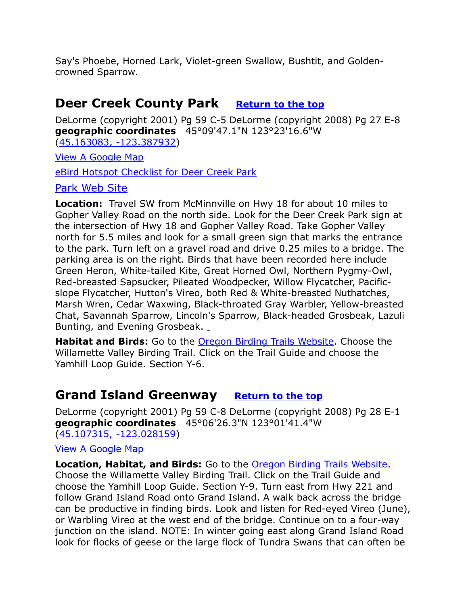Say's Phoebe, Horned Lark, Violet-green Swallow, Bushtit, and Goldencrowned Sparrow.

# <span id="page-9-1"></span>**Deer Creek County Park** [Return to the top](#page-0-0)

DeLorme (copyright 2001) Pg 59 C-5 DeLorme (copyright 2008) Pg 27 E-8 **geographic coordinates** 45°09'47.1"N 123°23'16.6"W [\(45.163083, -123.387932\)](https://www.google.com/maps/place/45%C2%B009)

[View A Google Map](http://maps.google.com/maps/ms?hl=en&ie=UTF8&msa=0&msid=108036481085398338899.00046dd27f74c067e5c9f&ll=45.236218,-123.19931&spn=0.741722,2.113495&z=10)

[eBird Hotspot Checklist for Deer Creek Park](http://ebird.org/ebird/hotspot/L1282533) 

#### [Park Web Site](http://www.co.yamhill.or.us/content/deer-creek)

**Location:** Travel SW from McMinnville on Hwy 18 for about 10 miles to Gopher Valley Road on the north side. Look for the Deer Creek Park sign at the intersection of Hwy 18 and Gopher Valley Road. Take Gopher Valley north for 5.5 miles and look for a small green sign that marks the entrance to the park. Turn left on a gravel road and drive 0.25 miles to a bridge. The parking area is on the right. Birds that have been recorded here include Green Heron, White-tailed Kite, Great Horned Owl, Northern Pygmy-Owl, Red-breasted Sapsucker, Pileated Woodpecker, Willow Flycatcher, Pacificslope Flycatcher, Hutton's Vireo, both Red & White-breasted Nuthatches, Marsh Wren, Cedar Waxwing, Black-throated Gray Warbler, Yellow-breasted Chat, Savannah Sparrow, Lincoln's Sparrow, Black-headed Grosbeak, Lazuli Bunting, and Evening Grosbeak.

**Habitat and Birds:** Go to the [Oregon Birding Trails Website.](http://www.oregonbirdingtrails.org/) Choose the Willamette Valley Birding Trail. Click on the Trail Guide and choose the Yamhill Loop Guide. Section Y-6.

# <span id="page-9-0"></span>**Grand Island Greenway [Return to the top](#page-0-0)**

DeLorme (copyright 2001) Pg 59 C-8 DeLorme (copyright 2008) Pg 28 E-1 **geographic coordinates** 45°06'26.3"N 123°01'41.4"W [\(45.107315, -123.028159\)](https://www.google.com/maps/place/45%C2%B006)

#### [View A Google Map](http://maps.google.com/maps/ms?hl=en&ie=UTF8&msa=0&msid=108036481085398338899.00046dd27f74c067e5c9f&ll=45.236218,-123.19931&spn=0.741722,2.113495&z=10)

**Location, Habitat, and Birds:** Go to the [Oregon Birding Trails Website.](http://www.oregonbirdingtrails.org/) Choose the Willamette Valley Birding Trail. Click on the Trail Guide and choose the Yamhill Loop Guide. Section Y-9. Turn east from Hwy 221 and follow Grand Island Road onto Grand Island. A walk back across the bridge can be productive in finding birds. Look and listen for Red-eyed Vireo (June), or Warbling Vireo at the west end of the bridge. Continue on to a four-way junction on the island. NOTE: In winter going east along Grand Island Road look for flocks of geese or the large flock of Tundra Swans that can often be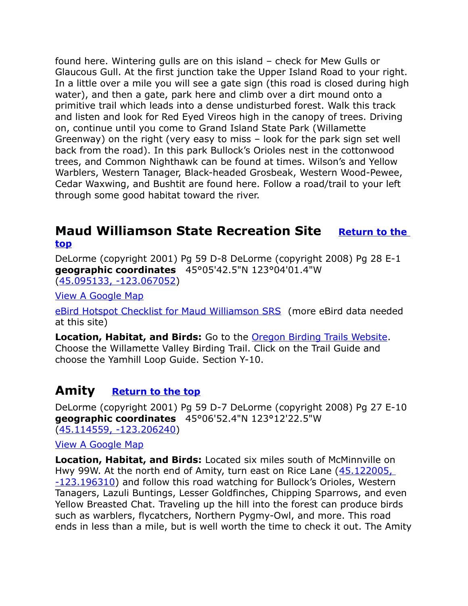found here. Wintering gulls are on this island – check for Mew Gulls or Glaucous Gull. At the first junction take the Upper Island Road to your right. In a little over a mile you will see a gate sign (this road is closed during high water), and then a gate, park here and climb over a dirt mound onto a primitive trail which leads into a dense undisturbed forest. Walk this track and listen and look for Red Eyed Vireos high in the canopy of trees. Driving on, continue until you come to Grand Island State Park (Willamette Greenway) on the right (very easy to miss – look for the park sign set well back from the road). In this park Bullock's Orioles nest in the cottonwood trees, and Common Nighthawk can be found at times. Wilson's and Yellow Warblers, Western Tanager, Black-headed Grosbeak, Western Wood-Pewee, Cedar Waxwing, and Bushtit are found here. Follow a road/trail to your left through some good habitat toward the river.

### <span id="page-10-1"></span>**Maud Williamson State Recreation Site Return to the [top](#page-0-0)**

DeLorme (copyright 2001) Pg 59 D-8 DeLorme (copyright 2008) Pg 28 E-1 **geographic coordinates** 45°05'42.5"N 123°04'01.4"W [\(45.095133, -123.067052\)](https://www.google.com/maps/place/45%C2%B005)

[View A Google Map](http://maps.google.com/maps/ms?hl=en&ie=UTF8&msa=0&msid=108036481085398338899.00046dd27f74c067e5c9f&ll=45.236218,-123.19931&spn=0.741722,2.113495&z=10)

[eBird Hotspot Checklist for Maud Williamson SRS](http://ebird.org/ebird/hotspot/L2526601) (more eBird data needed at this site)

**Location, Habitat, and Birds:** Go to the [Oregon Birding Trails Website.](http://www.oregonbirdingtrails.org/) Choose the Willamette Valley Birding Trail. Click on the Trail Guide and choose the Yamhill Loop Guide. Section Y-10.

### <span id="page-10-0"></span>**Amity [Return to the top](#page-0-0)**

DeLorme (copyright 2001) Pg 59 D-7 DeLorme (copyright 2008) Pg 27 E-10 **geographic coordinates** 45°06'52.4"N 123°12'22.5"W [\(45.114559, -123.206240\)](https://www.google.com/maps/place/45%C2%B006)

#### [View A Google Map](http://maps.google.com/maps/ms?hl=en&ie=UTF8&msa=0&msid=108036481085398338899.000472b9607b642f8f13e&z=10)

**Location, Habitat, and Birds:** Located six miles south of McMinnville on Hwy 99W. At the north end of Amity, turn east on Rice Lane (45.122005, [-123.196310\)](https://www.google.com/maps/place/45%C2%B007) and follow this road watching for Bullock's Orioles, Western Tanagers, Lazuli Buntings, Lesser Goldfinches, Chipping Sparrows, and even Yellow Breasted Chat. Traveling up the hill into the forest can produce birds such as warblers, flycatchers, Northern Pygmy-Owl, and more. This road ends in less than a mile, but is well worth the time to check it out. The Amity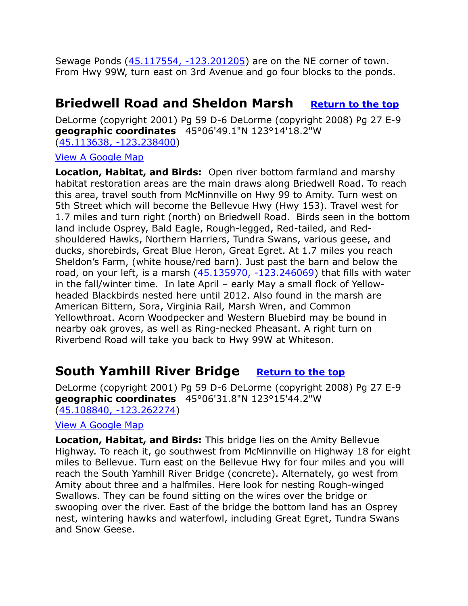Sewage Ponds [\(45.117554, -123.201205\)](https://www.google.com/maps/place/45%C2%B007) are on the NE corner of town. From Hwy 99W, turn east on 3rd Avenue and go four blocks to the ponds.

# <span id="page-11-1"></span>**Briedwell Road and Sheldon Marsh** [Return to the top](#page-0-0)

DeLorme (copyright 2001) Pg 59 D-6 DeLorme (copyright 2008) Pg 27 E-9 **geographic coordinates** 45°06'49.1"N 123°14'18.2"W [\(45.113638, -123.238400\)](https://www.google.com/maps/place/45%C2%B006)

#### [View A Google Map](http://maps.google.com/maps/ms?hl=en&ie=UTF8&msa=0&msid=108036481085398338899.00046dd27f74c067e5c9f&ll=45.236218,-123.19931&spn=0.741722,2.113495&z=10)

**Location, Habitat, and Birds:** Open river bottom farmland and marshy habitat restoration areas are the main draws along Briedwell Road. To reach this area, travel south from McMinnville on Hwy 99 to Amity. Turn west on 5th Street which will become the Bellevue Hwy (Hwy 153). Travel west for 1.7 miles and turn right (north) on Briedwell Road. Birds seen in the bottom land include Osprey, Bald Eagle, Rough-legged, Red-tailed, and Redshouldered Hawks, Northern Harriers, Tundra Swans, various geese, and ducks, shorebirds, Great Blue Heron, Great Egret. At 1.7 miles you reach Sheldon's Farm, (white house/red barn). Just past the barn and below the road, on your left, is a marsh  $(45.135970, -123.246069)$  that fills with water in the fall/winter time. In late April – early May a small flock of Yellowheaded Blackbirds nested here until 2012. Also found in the marsh are American Bittern, Sora, Virginia Rail, Marsh Wren, and Common Yellowthroat. Acorn Woodpecker and Western Bluebird may be bound in nearby oak groves, as well as Ring-necked Pheasant. A right turn on Riverbend Road will take you back to Hwy 99W at Whiteson.

# <span id="page-11-0"></span>**South Yamhill River Bridge [Return to the top](#page-0-0)**

DeLorme (copyright 2001) Pg 59 D-6 DeLorme (copyright 2008) Pg 27 E-9 **geographic coordinates** 45°06'31.8"N 123°15'44.2"W [\(45.108840, -123.262274\)](https://www.google.com/maps/place/45%C2%B006)

#### [View A Google Map](http://maps.google.com/maps/ms?hl=en&ie=UTF8&msa=0&msid=108036481085398338899.000472b9607b642f8f13e&z=10)

**Location, Habitat, and Birds:** This bridge lies on the Amity Bellevue Highway. To reach it, go southwest from McMinnville on Highway 18 for eight miles to Bellevue. Turn east on the Bellevue Hwy for four miles and you will reach the South Yamhill River Bridge (concrete). Alternately, go west from Amity about three and a halfmiles. Here look for nesting Rough-winged Swallows. They can be found sitting on the wires over the bridge or swooping over the river. East of the bridge the bottom land has an Osprey nest, wintering hawks and waterfowl, including Great Egret, Tundra Swans and Snow Geese.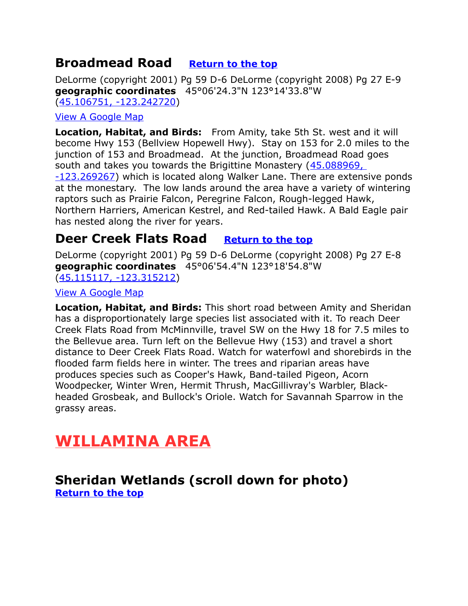# <span id="page-12-3"></span>**Broadmead Road [Return to the top](#page-0-0)**

DeLorme (copyright 2001) Pg 59 D-6 DeLorme (copyright 2008) Pg 27 E-9 **geographic coordinates** 45°06'24.3"N 123°14'33.8"W [\(45.106751, -123.242720\)](https://www.google.com/maps/place/45%C2%B006)

#### [View A Google Map](http://maps.google.com/maps/ms?hl=en&ie=UTF8&msa=0&msid=108036481085398338899.000472b9607b642f8f13e&z=10)

**Location, Habitat, and Birds:** From Amity, take 5th St. west and it will become Hwy 153 (Bellview Hopewell Hwy). Stay on 153 for 2.0 miles to the junction of 153 and Broadmead. At the junction, Broadmead Road goes south and takes you towards the Brigittine Monastery [\(45.088969,](https://www.google.com/maps/place/45%C2%B005) 

[-123.269267\)](https://www.google.com/maps/place/45%C2%B005) which is located along Walker Lane. There are extensive ponds at the monestary. The low lands around the area have a variety of wintering raptors such as Prairie Falcon, Peregrine Falcon, Rough-legged Hawk, Northern Harriers, American Kestrel, and Red-tailed Hawk. A Bald Eagle pair has nested along the river for years.

# <span id="page-12-2"></span>**Deer Creek Flats Road** [Return to the top](#page-0-0)

DeLorme (copyright 2001) Pg 59 D-6 DeLorme (copyright 2008) Pg 27 E-8 **geographic coordinates** 45°06'54.4"N 123°18'54.8"W [\(45.115117, -123.315212\)](https://www.google.com/maps/place/45%C2%B006)

#### [View A Google Map](http://maps.google.com/maps/ms?hl=en&ie=UTF8&msa=0&msid=108036481085398338899.00046dd27f74c067e5c9f&ll=45.236218,-123.19931&spn=0.741722,2.113495&z=10)

**Location, Habitat, and Birds:** This short road between Amity and Sheridan has a disproportionately large species list associated with it. To reach Deer Creek Flats Road from McMinnville, travel SW on the Hwy 18 for 7.5 miles to the Bellevue area. Turn left on the Bellevue Hwy (153) and travel a short distance to Deer Creek Flats Road. Watch for waterfowl and shorebirds in the flooded farm fields here in winter. The trees and riparian areas have produces species such as Cooper's Hawk, Band-tailed Pigeon, Acorn Woodpecker, Winter Wren, Hermit Thrush, MacGillivray's Warbler, Blackheaded Grosbeak, and Bullock's Oriole. Watch for Savannah Sparrow in the grassy areas.

# <span id="page-12-1"></span>**WILLAMINA AREA**

### <span id="page-12-0"></span>**Sheridan Wetlands (scroll down for photo) [Return to the top](#page-0-0)**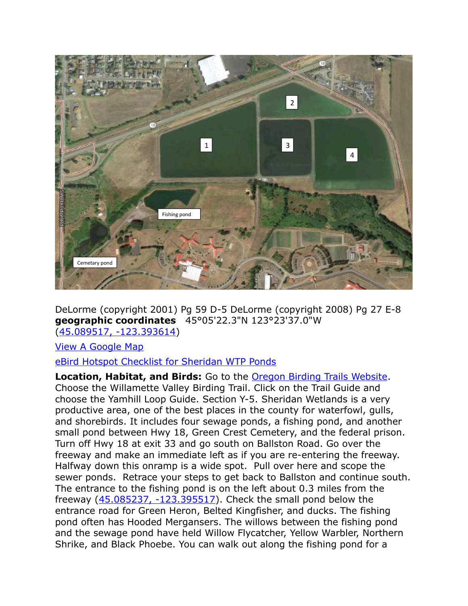

DeLorme (copyright 2001) Pg 59 D-5 DeLorme (copyright 2008) Pg 27 E-8 **geographic coordinates** 45°05'22.3"N 123°23'37.0"W [\(45.089517, -123.393614\)](https://www.google.com/maps/place/45%C2%B005)

#### [View A Google Map](http://maps.google.com/maps/ms?hl=en&ie=UTF8&msa=0&msid=108036481085398338899.00046dd27f74c067e5c9f&ll=45.236218,-123.19931&spn=0.741722,2.113495&z=10)

#### [eBird Hotspot Checklist for Sheridan WTP Ponds](http://ebird.org/ebird/hotspot/L807149)

**Location, Habitat, and Birds:** Go to the [Oregon Birding Trails Website.](http://www.oregonbirdingtrails.org/) Choose the Willamette Valley Birding Trail. Click on the Trail Guide and choose the Yamhill Loop Guide. Section Y-5. Sheridan Wetlands is a very productive area, one of the best places in the county for waterfowl, gulls, and shorebirds. It includes four sewage ponds, a fishing pond, and another small pond between Hwy 18, Green Crest Cemetery, and the federal prison. Turn off Hwy 18 at exit 33 and go south on Ballston Road. Go over the freeway and make an immediate left as if you are re-entering the freeway. Halfway down this onramp is a wide spot. Pull over here and scope the sewer ponds. Retrace your steps to get back to Ballston and continue south. The entrance to the fishing pond is on the left about 0.3 miles from the freeway  $(45.085237, -123.395517)$ . Check the small pond below the entrance road for Green Heron, Belted Kingfisher, and ducks. The fishing pond often has Hooded Mergansers. The willows between the fishing pond and the sewage pond have held Willow Flycatcher, Yellow Warbler, Northern Shrike, and Black Phoebe. You can walk out along the fishing pond for a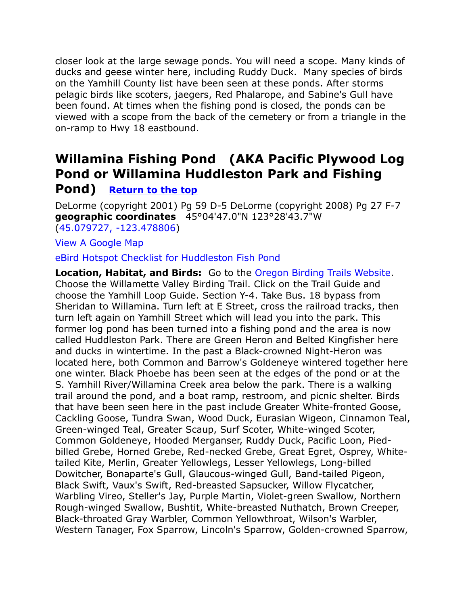closer look at the large sewage ponds. You will need a scope. Many kinds of ducks and geese winter here, including Ruddy Duck. Many species of birds on the Yamhill County list have been seen at these ponds. After storms pelagic birds like scoters, jaegers, Red Phalarope, and Sabine's Gull have been found. At times when the fishing pond is closed, the ponds can be viewed with a scope from the back of the cemetery or from a triangle in the on-ramp to Hwy 18 eastbound.

# <span id="page-14-0"></span>**Willamina Fishing Pond (AKA Pacific Plywood Log Pond or Willamina Huddleston Park and Fishing**

### **Pond) [Return to the top](#page-0-0)**

DeLorme (copyright 2001) Pg 59 D-5 DeLorme (copyright 2008) Pg 27 F-7 **geographic coordinates** 45°04'47.0"N 123°28'43.7"W [\(45.079727, -123.478806\)](https://www.google.com/maps/place/45%C2%B004)

[View A Google Map](http://maps.google.com/maps/ms?hl=en&ie=UTF8&msa=0&msid=108036481085398338899.00046dd27f74c067e5c9f&ll=45.236218,-123.19931&spn=0.741722,2.113495&z=10)

[eBird Hotspot Checklist for Huddleston Fish Pond](http://ebird.org/ebird/hotspot/L1778193)

**Location, Habitat, and Birds:** Go to the [Oregon Birding Trails Website.](http://www.oregonbirdingtrails.org/) Choose the Willamette Valley Birding Trail. Click on the Trail Guide and choose the Yamhill Loop Guide. Section Y-4. Take Bus. 18 bypass from Sheridan to Willamina. Turn left at E Street, cross the railroad tracks, then turn left again on Yamhill Street which will lead you into the park. This former log pond has been turned into a fishing pond and the area is now called Huddleston Park. There are Green Heron and Belted Kingfisher here and ducks in wintertime. In the past a Black-crowned Night-Heron was located here, both Common and Barrow's Goldeneye wintered together here one winter. Black Phoebe has been seen at the edges of the pond or at the S. Yamhill River/Willamina Creek area below the park. There is a walking trail around the pond, and a boat ramp, restroom, and picnic shelter. Birds that have been seen here in the past include Greater White-fronted Goose, Cackling Goose, Tundra Swan, Wood Duck, Eurasian Wigeon, Cinnamon Teal, Green-winged Teal, Greater Scaup, Surf Scoter, White-winged Scoter, Common Goldeneye, Hooded Merganser, Ruddy Duck, Pacific Loon, Piedbilled Grebe, Horned Grebe, Red-necked Grebe, Great Egret, Osprey, Whitetailed Kite, Merlin, Greater Yellowlegs, Lesser Yellowlegs, Long-billed Dowitcher, Bonaparte's Gull, Glaucous-winged Gull, Band-tailed Pigeon, Black Swift, Vaux's Swift, Red-breasted Sapsucker, Willow Flycatcher, Warbling Vireo, Steller's Jay, Purple Martin, Violet-green Swallow, Northern Rough-winged Swallow, Bushtit, White-breasted Nuthatch, Brown Creeper, Black-throated Gray Warbler, Common Yellowthroat, Wilson's Warbler, Western Tanager, Fox Sparrow, Lincoln's Sparrow, Golden-crowned Sparrow,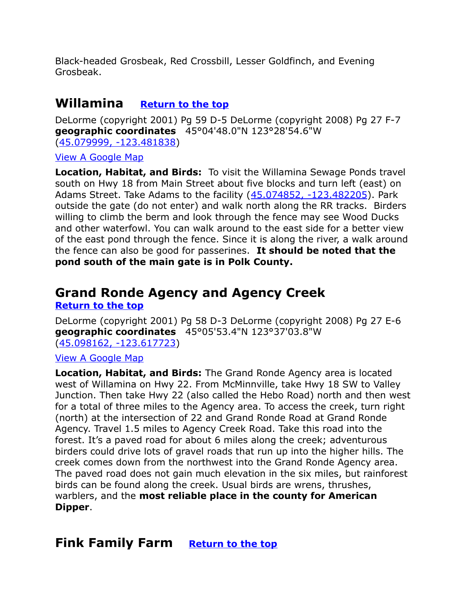Black-headed Grosbeak, Red Crossbill, Lesser Goldfinch, and Evening Grosbeak.

# <span id="page-15-2"></span>**Willamina [Return to the top](#page-0-0)**

DeLorme (copyright 2001) Pg 59 D-5 DeLorme (copyright 2008) Pg 27 F-7 **geographic coordinates** 45°04'48.0"N 123°28'54.6"W [\(45.079999, -123.481838\)](https://www.google.com/maps/place/45%C2%B004)

[View A Google Map](http://maps.google.com/maps/ms?hl=en&ie=UTF8&msa=0&msid=108036481085398338899.000472b9607b642f8f13e&z=10)

**Location, Habitat, and Birds:** To visit the Willamina Sewage Ponds travel south on Hwy 18 from Main Street about five blocks and turn left (east) on Adams Street. Take Adams to the facility [\(45.074852, -123.482205\)](https://www.google.com/maps/place/45%C2%B004). Park outside the gate (do not enter) and walk north along the RR tracks. Birders willing to climb the berm and look through the fence may see Wood Ducks and other waterfowl. You can walk around to the east side for a better view of the east pond through the fence. Since it is along the river, a walk around the fence can also be good for passerines. **It should be noted that the pond south of the main gate is in Polk County.**

# <span id="page-15-1"></span>**Grand Ronde Agency and Agency Creek [Return to the top](#page-0-0)**

DeLorme (copyright 2001) Pg 58 D-3 DeLorme (copyright 2008) Pg 27 E-6 **geographic coordinates** 45°05'53.4"N 123°37'03.8"W [\(45.098162, -123.617723\)](https://www.google.com/maps/place/45%C2%B005)

#### [View A Google Map](http://maps.google.com/maps/ms?hl=en&ie=UTF8&msa=0&msid=108036481085398338899.000472b9607b642f8f13e&z=10)

**Location, Habitat, and Birds:** The Grand Ronde Agency area is located west of Willamina on Hwy 22. From McMinnville, take Hwy 18 SW to Valley Junction. Then take Hwy 22 (also called the Hebo Road) north and then west for a total of three miles to the Agency area. To access the creek, turn right (north) at the intersection of 22 and Grand Ronde Road at Grand Ronde Agency. Travel 1.5 miles to Agency Creek Road. Take this road into the forest. It's a paved road for about 6 miles along the creek; adventurous birders could drive lots of gravel roads that run up into the higher hills. The creek comes down from the northwest into the Grand Ronde Agency area. The paved road does not gain much elevation in the six miles, but rainforest birds can be found along the creek. Usual birds are wrens, thrushes, warblers, and the **most reliable place in the county for American Dipper**.

# <span id="page-15-0"></span>**Fink Family Farm [Return to the top](#page-0-0)**